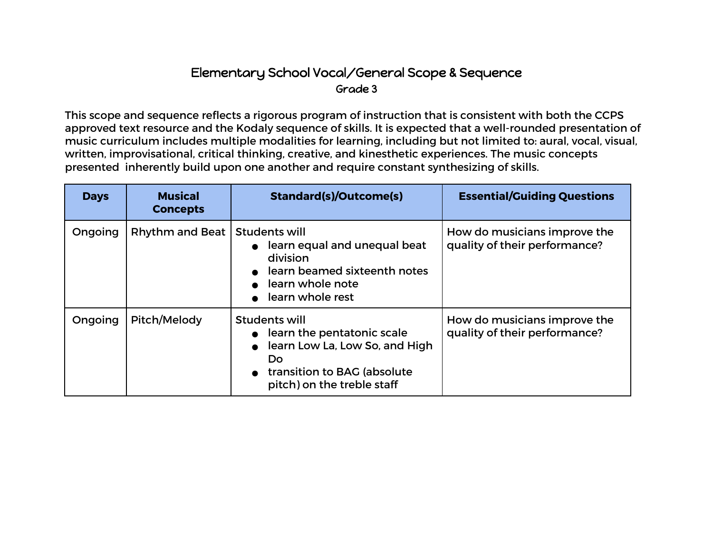## Elementary School Vocal/General Scope & Sequence Grade 3

This scope and sequence reflects a rigorous program of instruction that is consistent with both the CCPS approved text resource and the Kodaly sequence of skills. It is expected that a well-rounded presentation of music curriculum includes multiple modalities for learning, including but not limited to: aural, vocal, visual, written, improvisational, critical thinking, creative, and kinesthetic experiences. The music concepts presented inherently build upon one another and require constant synthesizing of skills.

| <b>Days</b> | <b>Musical</b><br><b>Concepts</b> | <b>Standard(s)/Outcome(s)</b>                                                                                                                                  | <b>Essential/Guiding Questions</b>                            |
|-------------|-----------------------------------|----------------------------------------------------------------------------------------------------------------------------------------------------------------|---------------------------------------------------------------|
| Ongoing     | <b>Rhythm and Beat</b>            | <b>Students will</b><br>learn equal and unequal beat<br>division<br>learn beamed sixteenth notes<br>learn whole note<br>learn whole rest                       | How do musicians improve the<br>quality of their performance? |
| Ongoing     | Pitch/Melody                      | Students will<br>learn the pentatonic scale<br>$\bullet$<br>learn Low La, Low So, and High<br>Do.<br>transition to BAG (absolute<br>pitch) on the treble staff | How do musicians improve the<br>quality of their performance? |